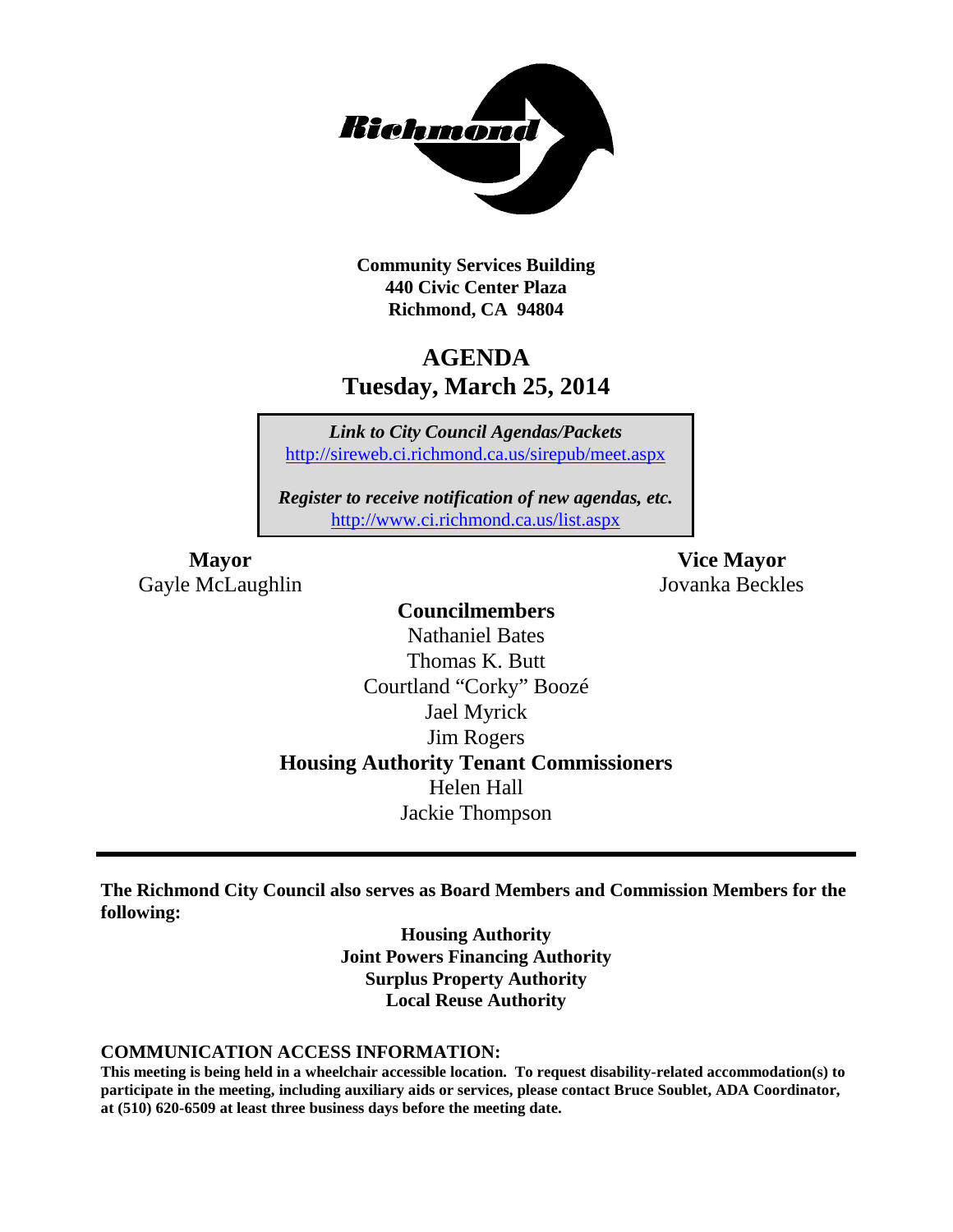

**Community Services Building 440 Civic Center Plaza Richmond, CA 94804**

## **AGENDA Tuesday, March 25, 2014**

*Link to City Council Agendas/Packets* <http://sireweb.ci.richmond.ca.us/sirepub/meet.aspx>

*Register to receive notification of new agendas, etc.* <http://www.ci.richmond.ca.us/list.aspx>

Gayle McLaughlin Jovanka Beckles

**Mayor Vice Mayor**

## **Councilmembers**

Nathaniel Bates Thomas K. Butt Courtland "Corky" Boozé Jael Myrick Jim Rogers **Housing Authority Tenant Commissioners** Helen Hall Jackie Thompson

**The Richmond City Council also serves as Board Members and Commission Members for the following:**

> **Housing Authority Joint Powers Financing Authority Surplus Property Authority Local Reuse Authority**

#### **COMMUNICATION ACCESS INFORMATION:**

**This meeting is being held in a wheelchair accessible location. To request disability-related accommodation(s) to participate in the meeting, including auxiliary aids or services, please contact Bruce Soublet, ADA Coordinator, at (510) 620-6509 at least three business days before the meeting date.**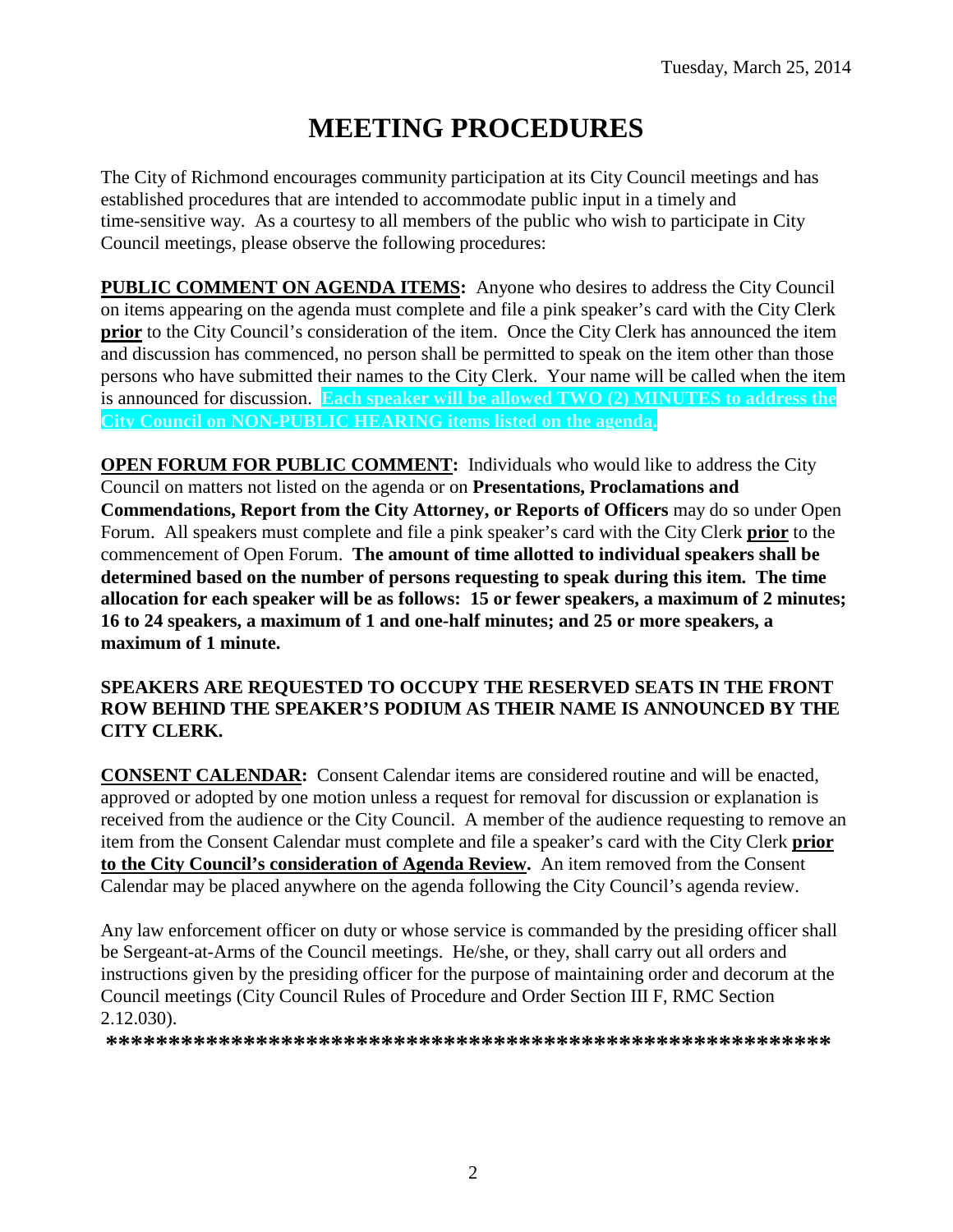# **MEETING PROCEDURES**

The City of Richmond encourages community participation at its City Council meetings and has established procedures that are intended to accommodate public input in a timely and time-sensitive way. As a courtesy to all members of the public who wish to participate in City Council meetings, please observe the following procedures:

**PUBLIC COMMENT ON AGENDA ITEMS:** Anyone who desires to address the City Council on items appearing on the agenda must complete and file a pink speaker's card with the City Clerk **prior** to the City Council's consideration of the item. Once the City Clerk has announced the item and discussion has commenced, no person shall be permitted to speak on the item other than those persons who have submitted their names to the City Clerk. Your name will be called when the item is announced for discussion. **Each speaker will be allowed TWO (2) MINUTES to address the City Council on NON-PUBLIC HEARING items listed on the agenda.**

**OPEN FORUM FOR PUBLIC COMMENT:** Individuals who would like to address the City Council on matters not listed on the agenda or on **Presentations, Proclamations and Commendations, Report from the City Attorney, or Reports of Officers** may do so under Open Forum. All speakers must complete and file a pink speaker's card with the City Clerk **prior** to the commencement of Open Forum. **The amount of time allotted to individual speakers shall be determined based on the number of persons requesting to speak during this item. The time allocation for each speaker will be as follows: 15 or fewer speakers, a maximum of 2 minutes; 16 to 24 speakers, a maximum of 1 and one-half minutes; and 25 or more speakers, a maximum of 1 minute.**

## **SPEAKERS ARE REQUESTED TO OCCUPY THE RESERVED SEATS IN THE FRONT ROW BEHIND THE SPEAKER'S PODIUM AS THEIR NAME IS ANNOUNCED BY THE CITY CLERK.**

**CONSENT CALENDAR:** Consent Calendar items are considered routine and will be enacted, approved or adopted by one motion unless a request for removal for discussion or explanation is received from the audience or the City Council. A member of the audience requesting to remove an item from the Consent Calendar must complete and file a speaker's card with the City Clerk **prior to the City Council's consideration of Agenda Review.** An item removed from the Consent Calendar may be placed anywhere on the agenda following the City Council's agenda review.

Any law enforcement officer on duty or whose service is commanded by the presiding officer shall be Sergeant-at-Arms of the Council meetings. He/she, or they, shall carry out all orders and instructions given by the presiding officer for the purpose of maintaining order and decorum at the Council meetings (City Council Rules of Procedure and Order Section III F, RMC Section 2.12.030).

**\*\*\*\*\*\*\*\*\*\*\*\*\*\*\*\*\*\*\*\*\*\*\*\*\*\*\*\*\*\*\*\*\*\*\*\*\*\*\*\*\*\*\*\*\*\*\*\*\*\*\*\*\*\*\*\*\*\***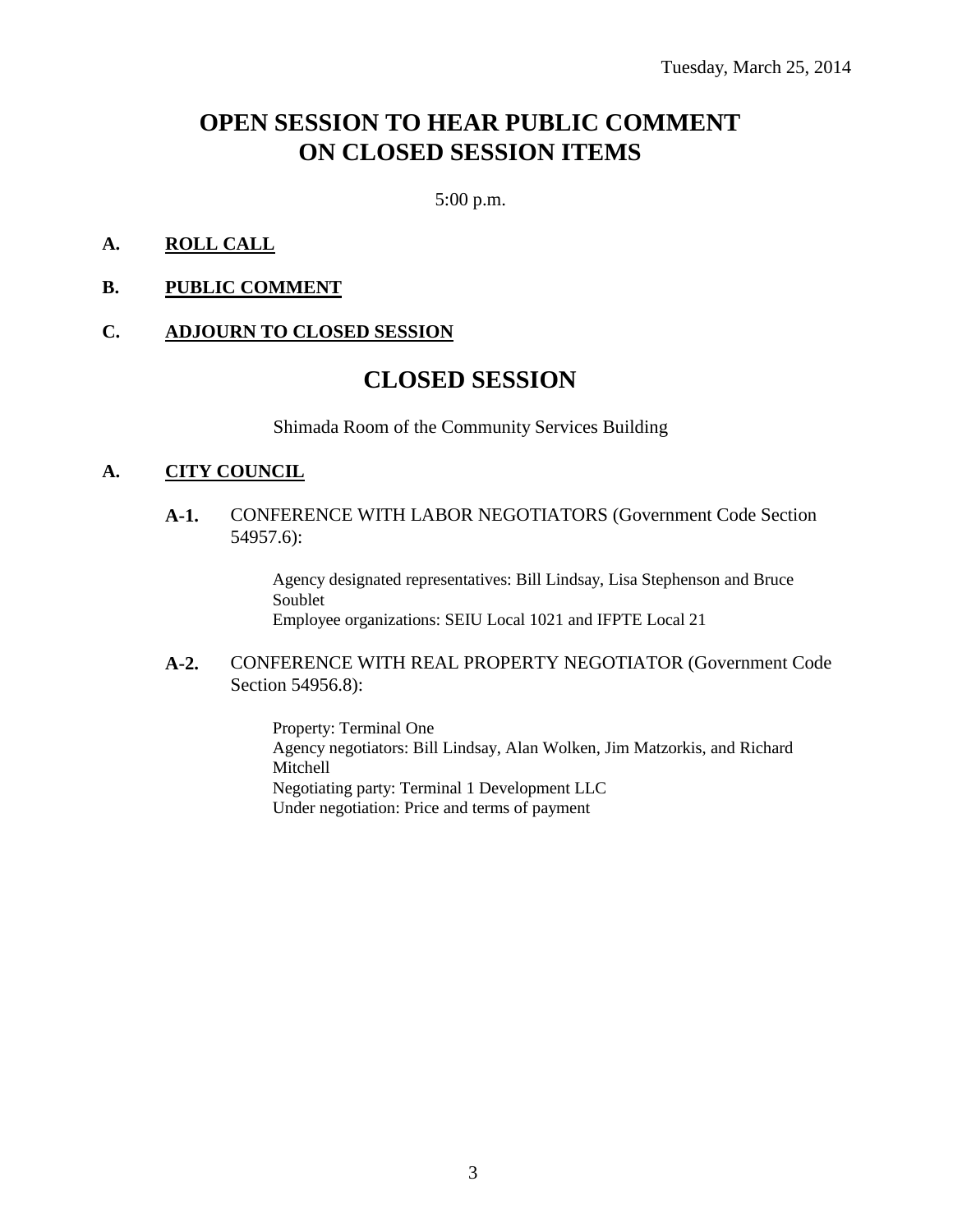## **OPEN SESSION TO HEAR PUBLIC COMMENT ON CLOSED SESSION ITEMS**

5:00 p.m.

#### **A. ROLL CALL**

**B. PUBLIC COMMENT**

#### **C. ADJOURN TO CLOSED SESSION**

## **CLOSED SESSION**

Shimada Room of the Community Services Building

#### **A. CITY COUNCIL**

**A-1.** CONFERENCE WITH LABOR NEGOTIATORS (Government Code Section 54957.6):

> Agency designated representatives: Bill Lindsay, Lisa Stephenson and Bruce Soublet Employee organizations: SEIU Local 1021 and IFPTE Local 21

#### **A-2.** CONFERENCE WITH REAL PROPERTY NEGOTIATOR (Government Code Section 54956.8):

Property: Terminal One Agency negotiators: Bill Lindsay, Alan Wolken, Jim Matzorkis, and Richard Mitchell Negotiating party: Terminal 1 Development LLC Under negotiation: Price and terms of payment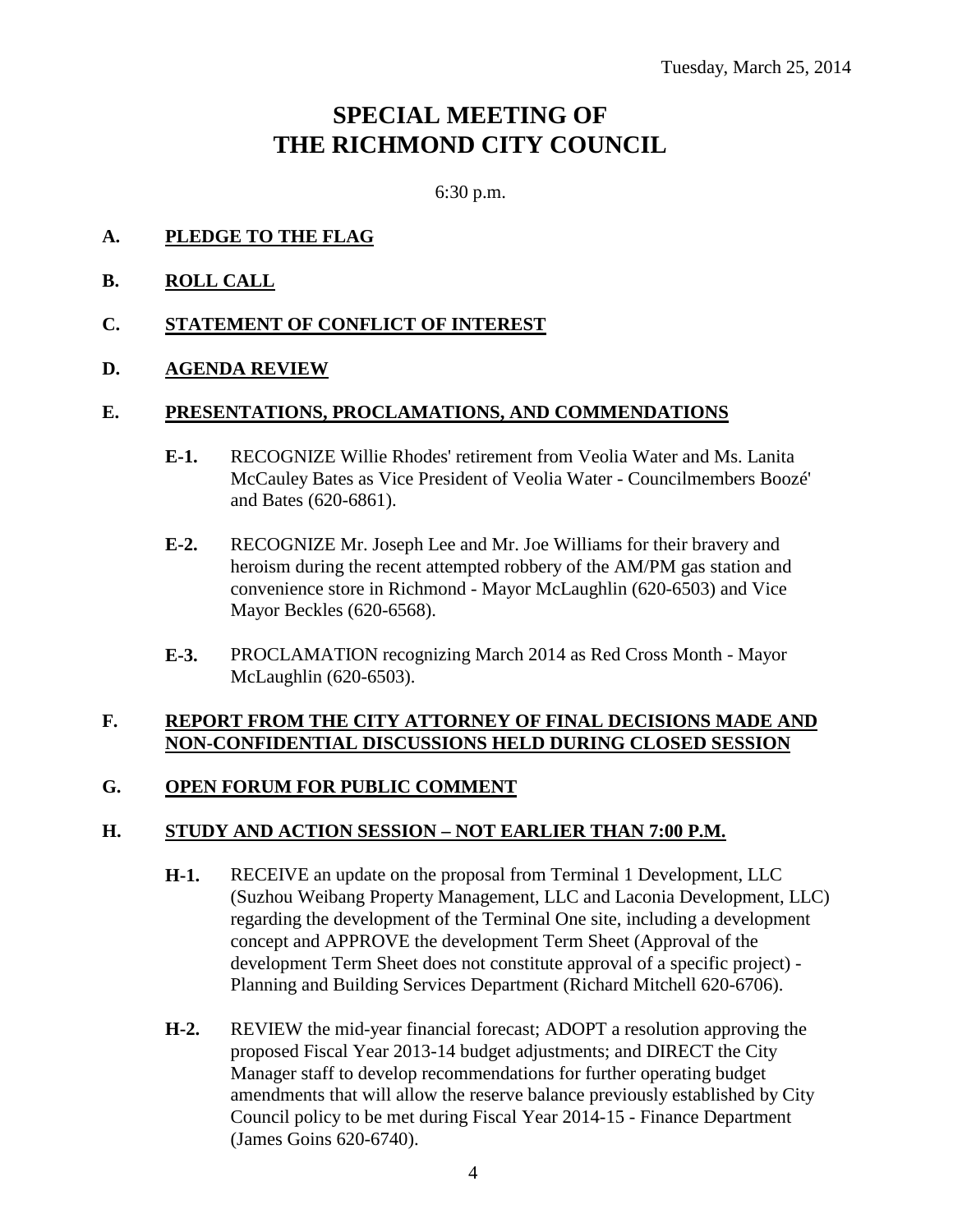## **SPECIAL MEETING OF THE RICHMOND CITY COUNCIL**

6:30 p.m.

- **A. PLEDGE TO THE FLAG**
- **B. ROLL CALL**
- **C. STATEMENT OF CONFLICT OF INTEREST**

## **D. AGENDA REVIEW**

#### **E. PRESENTATIONS, PROCLAMATIONS, AND COMMENDATIONS**

- **E-1.** RECOGNIZE Willie Rhodes' retirement from Veolia Water and Ms. Lanita McCauley Bates as Vice President of Veolia Water - Councilmembers Boozé' and Bates (620-6861).
- **E-2.** RECOGNIZE Mr. Joseph Lee and Mr. Joe Williams for their bravery and heroism during the recent attempted robbery of the AM/PM gas station and convenience store in Richmond - Mayor McLaughlin (620-6503) and Vice Mayor Beckles (620-6568).
- **E-3.** PROCLAMATION recognizing March 2014 as Red Cross Month Mayor McLaughlin (620-6503).

## **F. REPORT FROM THE CITY ATTORNEY OF FINAL DECISIONS MADE AND NON-CONFIDENTIAL DISCUSSIONS HELD DURING CLOSED SESSION**

## **G. OPEN FORUM FOR PUBLIC COMMENT**

## **H. STUDY AND ACTION SESSION – NOT EARLIER THAN 7:00 P.M.**

- **H-1.** RECEIVE an update on the proposal from Terminal 1 Development, LLC (Suzhou Weibang Property Management, LLC and Laconia Development, LLC) regarding the development of the Terminal One site, including a development concept and APPROVE the development Term Sheet (Approval of the development Term Sheet does not constitute approval of a specific project) - Planning and Building Services Department (Richard Mitchell 620-6706).
- **H-2.** REVIEW the mid-year financial forecast; ADOPT a resolution approving the proposed Fiscal Year 2013-14 budget adjustments; and DIRECT the City Manager staff to develop recommendations for further operating budget amendments that will allow the reserve balance previously established by City Council policy to be met during Fiscal Year 2014-15 - Finance Department (James Goins 620-6740).